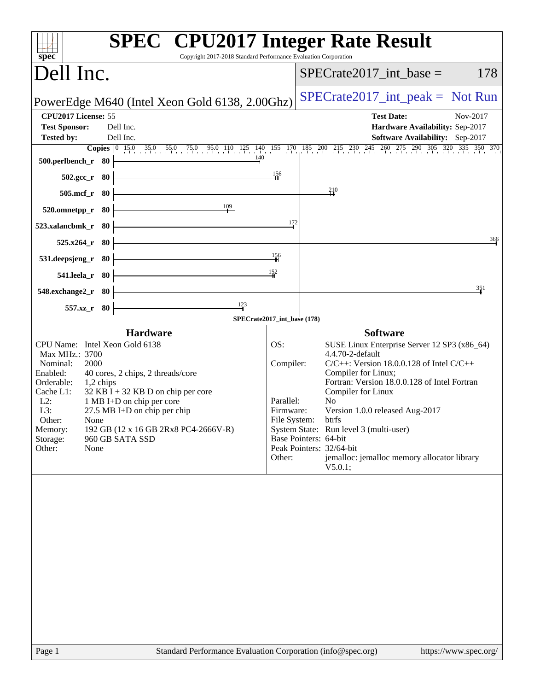| <b>SPEC<sup>®</sup></b> CPU2017 Integer Rate Result<br>Copyright 2017-2018 Standard Performance Evaluation Corporation<br>$spec^*$                                                                                                                                                                                                                                                                        |                                                                      |                                                                                                                                                                                                                                                                                                                                                                                                                                       |
|-----------------------------------------------------------------------------------------------------------------------------------------------------------------------------------------------------------------------------------------------------------------------------------------------------------------------------------------------------------------------------------------------------------|----------------------------------------------------------------------|---------------------------------------------------------------------------------------------------------------------------------------------------------------------------------------------------------------------------------------------------------------------------------------------------------------------------------------------------------------------------------------------------------------------------------------|
| Dell Inc.                                                                                                                                                                                                                                                                                                                                                                                                 |                                                                      | $SPECrate2017\_int\_base =$<br>178                                                                                                                                                                                                                                                                                                                                                                                                    |
| PowerEdge M640 (Intel Xeon Gold 6138, 2.00Ghz)                                                                                                                                                                                                                                                                                                                                                            |                                                                      | $SPECrate2017\_int\_peak = Not Run$                                                                                                                                                                                                                                                                                                                                                                                                   |
| CPU2017 License: 55<br><b>Test Sponsor:</b><br>Dell Inc.<br><b>Tested by:</b><br>Dell Inc.                                                                                                                                                                                                                                                                                                                |                                                                      | <b>Test Date:</b><br>Nov-2017<br>Hardware Availability: Sep-2017<br>Software Availability: Sep-2017                                                                                                                                                                                                                                                                                                                                   |
| 500.perlbench_r 80                                                                                                                                                                                                                                                                                                                                                                                        |                                                                      | <b>Copies</b> $\begin{bmatrix} 0 & 15.0 & 35.0 & 55.0 & 75.0 & 95.0 & 110 & 125 & 140 & 155 & 170 & 185 & 200 & 215 & 230 & 245 & 260 & 275 & 290 & 305 & 320 & 335 & 350 & 370 \end{bmatrix}$                                                                                                                                                                                                                                        |
| - 80<br>$502.\mathrm{gcc}$ _r                                                                                                                                                                                                                                                                                                                                                                             | 156                                                                  |                                                                                                                                                                                                                                                                                                                                                                                                                                       |
| $505$ .mcf_r<br>- 80                                                                                                                                                                                                                                                                                                                                                                                      |                                                                      | 210                                                                                                                                                                                                                                                                                                                                                                                                                                   |
| 109<br>520.omnetpp_r<br>80                                                                                                                                                                                                                                                                                                                                                                                |                                                                      |                                                                                                                                                                                                                                                                                                                                                                                                                                       |
| 523.xalancbmk_r<br>- 80                                                                                                                                                                                                                                                                                                                                                                                   | 172                                                                  |                                                                                                                                                                                                                                                                                                                                                                                                                                       |
| 525.x264_r<br>- 80                                                                                                                                                                                                                                                                                                                                                                                        |                                                                      | 366                                                                                                                                                                                                                                                                                                                                                                                                                                   |
| 531.deepsjeng_r 80                                                                                                                                                                                                                                                                                                                                                                                        | 156                                                                  |                                                                                                                                                                                                                                                                                                                                                                                                                                       |
| 541.leela_r 80                                                                                                                                                                                                                                                                                                                                                                                            | 152                                                                  |                                                                                                                                                                                                                                                                                                                                                                                                                                       |
| 548.exchange2_r 80                                                                                                                                                                                                                                                                                                                                                                                        |                                                                      | 351                                                                                                                                                                                                                                                                                                                                                                                                                                   |
| $\frac{123}{4}$<br>557.xz_r 80<br>SPECrate2017_int_base (178)                                                                                                                                                                                                                                                                                                                                             |                                                                      |                                                                                                                                                                                                                                                                                                                                                                                                                                       |
| <b>Hardware</b>                                                                                                                                                                                                                                                                                                                                                                                           |                                                                      | <b>Software</b>                                                                                                                                                                                                                                                                                                                                                                                                                       |
| CPU Name: Intel Xeon Gold 6138<br>Max MHz.: 3700<br>Nominal:<br>2000<br>Enabled:<br>40 cores, 2 chips, 2 threads/core<br>Orderable:<br>1,2 chips<br>$32$ KB I + 32 KB D on chip per core<br>Cache L1:<br>$L2$ :<br>1 MB I+D on chip per core<br>L3:<br>27.5 MB I+D on chip per chip<br>Other:<br>None<br>192 GB (12 x 16 GB 2Rx8 PC4-2666V-R)<br>Memory:<br>Storage:<br>960 GB SATA SSD<br>Other:<br>None | OS:<br>Compiler:<br>Parallel:<br>Firmware:<br>File System:<br>Other: | SUSE Linux Enterprise Server 12 SP3 (x86_64)<br>4.4.70-2-default<br>$C/C++$ : Version 18.0.0.128 of Intel $C/C++$<br>Compiler for Linux;<br>Fortran: Version 18.0.0.128 of Intel Fortran<br>Compiler for Linux<br>N <sub>o</sub><br>Version 1.0.0 released Aug-2017<br>btrfs<br>System State: Run level 3 (multi-user)<br>Base Pointers: 64-bit<br>Peak Pointers: 32/64-bit<br>jemalloc: jemalloc memory allocator library<br>V5.0.1; |
|                                                                                                                                                                                                                                                                                                                                                                                                           |                                                                      |                                                                                                                                                                                                                                                                                                                                                                                                                                       |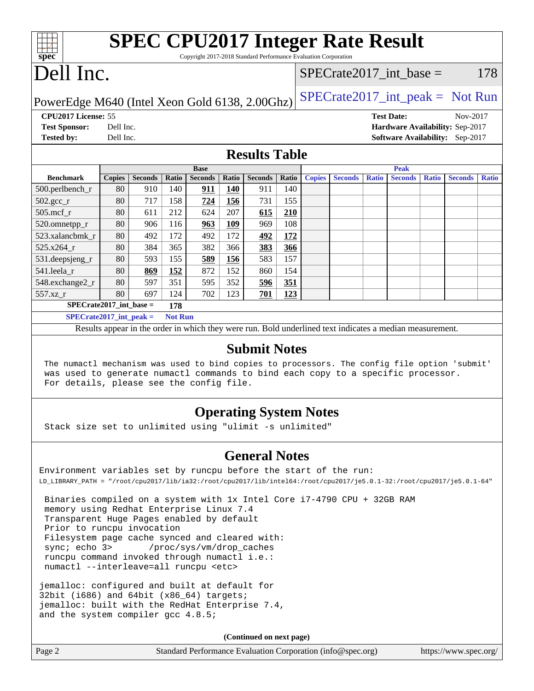|       | <b>SPEC CPU2017 Integer Rate Result</b>                         |                           |     |  |  |  |  |
|-------|-----------------------------------------------------------------|---------------------------|-----|--|--|--|--|
| spec® | Copyright 2017-2018 Standard Performance Evaluation Corporation |                           |     |  |  |  |  |
|       | Dell Inc.                                                       | SPECrate2017 int base $=$ | 178 |  |  |  |  |

PowerEdge M640 (Intel Xeon Gold 6138, 2.00Ghz)  $\big|\text{SPECrate2017\_int\_peak} = \text{Not Run}$ 

**[Tested by:](http://www.spec.org/auto/cpu2017/Docs/result-fields.html#Testedby)** Dell Inc. **[Software Availability:](http://www.spec.org/auto/cpu2017/Docs/result-fields.html#SoftwareAvailability)** Sep-2017

**[CPU2017 License:](http://www.spec.org/auto/cpu2017/Docs/result-fields.html#CPU2017License)** 55 **[Test Date:](http://www.spec.org/auto/cpu2017/Docs/result-fields.html#TestDate)** Nov-2017 **[Test Sponsor:](http://www.spec.org/auto/cpu2017/Docs/result-fields.html#TestSponsor)** Dell Inc. **[Hardware Availability:](http://www.spec.org/auto/cpu2017/Docs/result-fields.html#HardwareAvailability)** Sep-2017

### **[Results Table](http://www.spec.org/auto/cpu2017/Docs/result-fields.html#ResultsTable)**

|                                             | <b>Base</b>   |                |       |                |            |                | <b>Peak</b> |               |                |              |                |              |                |              |
|---------------------------------------------|---------------|----------------|-------|----------------|------------|----------------|-------------|---------------|----------------|--------------|----------------|--------------|----------------|--------------|
| <b>Benchmark</b>                            | <b>Copies</b> | <b>Seconds</b> | Ratio | <b>Seconds</b> | Ratio      | <b>Seconds</b> | Ratio       | <b>Copies</b> | <b>Seconds</b> | <b>Ratio</b> | <b>Seconds</b> | <b>Ratio</b> | <b>Seconds</b> | <b>Ratio</b> |
| 500.perlbench_r                             | 80            | 910            | 140   | 911            | <u>140</u> | 911            | 140         |               |                |              |                |              |                |              |
| $502.\text{gcc}$ _r                         | 80            | 717            | 158   | 724            | 156        | 731            | 155         |               |                |              |                |              |                |              |
| $505$ .mcf r                                | 80            | 611            | 212   | 624            | 207        | 615            | 210         |               |                |              |                |              |                |              |
| 520.omnetpp_r                               | 80            | 906            | 116   | 963            | 109        | 969            | 108         |               |                |              |                |              |                |              |
| 523.xalancbmk r                             | 80            | 492            | 172   | 492            | 172        | 492            | <u>172</u>  |               |                |              |                |              |                |              |
| 525.x264 r                                  | 80            | 384            | 365   | 382            | 366        | 383            | 366         |               |                |              |                |              |                |              |
| 531.deepsjeng_r                             | 80            | 593            | 155   | 589            | 156        | 583            | 157         |               |                |              |                |              |                |              |
| 541.leela r                                 | 80            | 869            | 152   | 872            | 152        | 860            | 154         |               |                |              |                |              |                |              |
| 548.exchange2_r                             | 80            | 597            | 351   | 595            | 352        | 596            | 351         |               |                |              |                |              |                |              |
| $557.xz$ _r                                 | 80            | 697            | 124   | 702            | 123        | 701            | 123         |               |                |              |                |              |                |              |
| $SPECrate2017$ int base =<br>178            |               |                |       |                |            |                |             |               |                |              |                |              |                |              |
| $SPECrate2017$ int peak =<br><b>Not Run</b> |               |                |       |                |            |                |             |               |                |              |                |              |                |              |

Results appear in the [order in which they were run](http://www.spec.org/auto/cpu2017/Docs/result-fields.html#RunOrder). Bold underlined text [indicates a median measurement](http://www.spec.org/auto/cpu2017/Docs/result-fields.html#Median).

#### **[Submit Notes](http://www.spec.org/auto/cpu2017/Docs/result-fields.html#SubmitNotes)**

 The numactl mechanism was used to bind copies to processors. The config file option 'submit' was used to generate numactl commands to bind each copy to a specific processor. For details, please see the config file.

### **[Operating System Notes](http://www.spec.org/auto/cpu2017/Docs/result-fields.html#OperatingSystemNotes)**

Stack size set to unlimited using "ulimit -s unlimited"

### **[General Notes](http://www.spec.org/auto/cpu2017/Docs/result-fields.html#GeneralNotes)**

Environment variables set by runcpu before the start of the run: LD\_LIBRARY\_PATH = "/root/cpu2017/lib/ia32:/root/cpu2017/lib/intel64:/root/cpu2017/je5.0.1-32:/root/cpu2017/je5.0.1-64"

 Binaries compiled on a system with 1x Intel Core i7-4790 CPU + 32GB RAM memory using Redhat Enterprise Linux 7.4 Transparent Huge Pages enabled by default Prior to runcpu invocation Filesystem page cache synced and cleared with: sync; echo 3> /proc/sys/vm/drop\_caches runcpu command invoked through numactl i.e.: numactl --interleave=all runcpu <etc>

jemalloc: configured and built at default for 32bit (i686) and 64bit (x86\_64) targets; jemalloc: built with the RedHat Enterprise 7.4, and the system compiler gcc 4.8.5;

**(Continued on next page)**

Page 2 Standard Performance Evaluation Corporation [\(info@spec.org\)](mailto:info@spec.org) <https://www.spec.org/>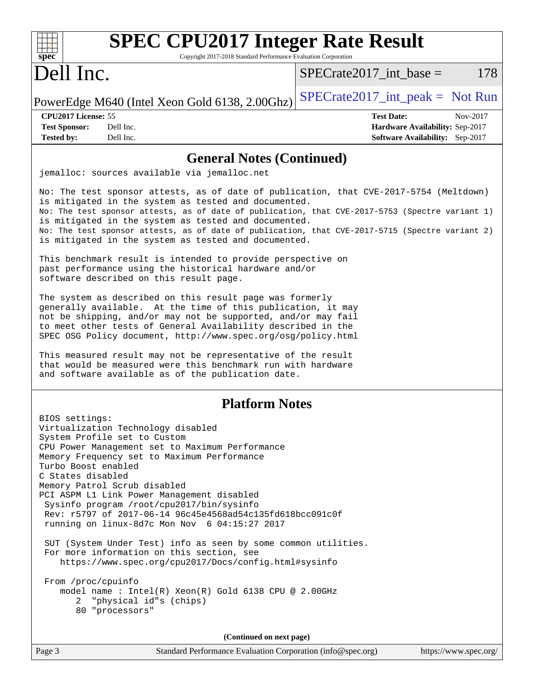| <b>SPEC CPU2017 Integer Rate Result</b><br>Spec<br>Copyright 2017-2018 Standard Performance Evaluation Corporation                                                                                                                                                                                                                                                                                                                                                                                               |                                                                                                     |
|------------------------------------------------------------------------------------------------------------------------------------------------------------------------------------------------------------------------------------------------------------------------------------------------------------------------------------------------------------------------------------------------------------------------------------------------------------------------------------------------------------------|-----------------------------------------------------------------------------------------------------|
| Dell Inc.                                                                                                                                                                                                                                                                                                                                                                                                                                                                                                        | 178<br>$SPECrate2017\_int\_base =$                                                                  |
| PowerEdge M640 (Intel Xeon Gold 6138, 2.00Ghz)                                                                                                                                                                                                                                                                                                                                                                                                                                                                   | $SPECrate2017\_int\_peak = Not Run$                                                                 |
| CPU2017 License: 55<br><b>Test Sponsor:</b><br>Dell Inc.<br><b>Tested by:</b><br>Dell Inc.                                                                                                                                                                                                                                                                                                                                                                                                                       | <b>Test Date:</b><br>Nov-2017<br>Hardware Availability: Sep-2017<br>Software Availability: Sep-2017 |
| <b>General Notes (Continued)</b>                                                                                                                                                                                                                                                                                                                                                                                                                                                                                 |                                                                                                     |
| jemalloc: sources available via jemalloc.net                                                                                                                                                                                                                                                                                                                                                                                                                                                                     |                                                                                                     |
| No: The test sponsor attests, as of date of publication, that CVE-2017-5754 (Meltdown)<br>is mitigated in the system as tested and documented.<br>No: The test sponsor attests, as of date of publication, that CVE-2017-5753 (Spectre variant 1)<br>is mitigated in the system as tested and documented.<br>No: The test sponsor attests, as of date of publication, that CVE-2017-5715 (Spectre variant 2)<br>is mitigated in the system as tested and documented.                                             |                                                                                                     |
| This benchmark result is intended to provide perspective on<br>past performance using the historical hardware and/or<br>software described on this result page.                                                                                                                                                                                                                                                                                                                                                  |                                                                                                     |
| The system as described on this result page was formerly<br>generally available. At the time of this publication, it may<br>not be shipping, and/or may not be supported, and/or may fail<br>to meet other tests of General Availability described in the<br>SPEC OSG Policy document, http://www.spec.org/osg/policy.html<br>This measured result may not be representative of the result<br>that would be measured were this benchmark run with hardware<br>and software available as of the publication date. |                                                                                                     |
| <b>Platform Notes</b>                                                                                                                                                                                                                                                                                                                                                                                                                                                                                            |                                                                                                     |
| BIOS settings:<br>Virtualization Technology disabled<br>System Profile set to Custom<br>CPU Power Management set to Maximum Performance<br>Memory Frequency set to Maximum Performance<br>Turbo Boost enabled<br>C States disabled<br>Memory Patrol Scrub disabled<br>PCI ASPM L1 Link Power Management disabled<br>Sysinfo program /root/cpu2017/bin/sysinfo<br>Rev: r5797 of 2017-06-14 96c45e4568ad54c135fd618bcc091c0f<br>running on linux-8d7c Mon Nov 6 04:15:27 2017                                      |                                                                                                     |
| SUT (System Under Test) info as seen by some common utilities.<br>For more information on this section, see<br>https://www.spec.org/cpu2017/Docs/config.html#sysinfo                                                                                                                                                                                                                                                                                                                                             |                                                                                                     |
| From /proc/cpuinfo<br>model name : Intel(R) Xeon(R) Gold 6138 CPU @ 2.00GHz<br>2 "physical id"s (chips)<br>80 "processors"                                                                                                                                                                                                                                                                                                                                                                                       |                                                                                                     |
| (Continued on next page)                                                                                                                                                                                                                                                                                                                                                                                                                                                                                         |                                                                                                     |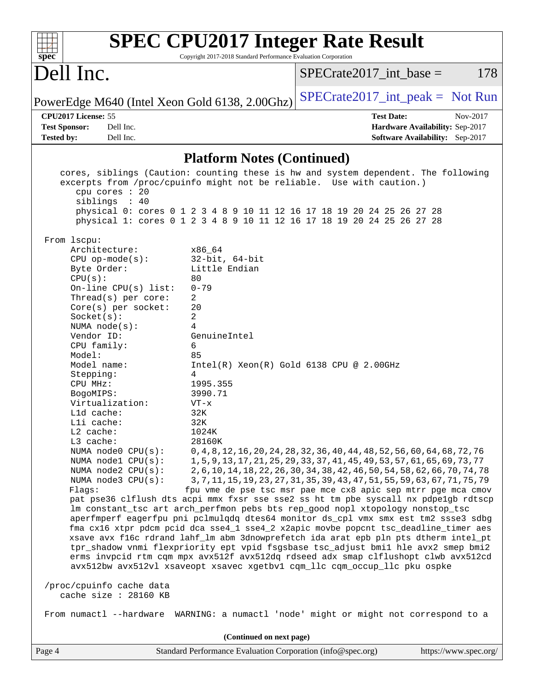| <b>SPEC CPU2017 Integer Rate Result</b><br>Copyright 2017-2018 Standard Performance Evaluation Corporation<br>$spec^*$                                                                                                                                                                                                                                                                                                                                                                                                                                                                                                                                                                                                                                  |                                                                                                                                                                                                                                                                                                                                                                                             |
|---------------------------------------------------------------------------------------------------------------------------------------------------------------------------------------------------------------------------------------------------------------------------------------------------------------------------------------------------------------------------------------------------------------------------------------------------------------------------------------------------------------------------------------------------------------------------------------------------------------------------------------------------------------------------------------------------------------------------------------------------------|---------------------------------------------------------------------------------------------------------------------------------------------------------------------------------------------------------------------------------------------------------------------------------------------------------------------------------------------------------------------------------------------|
| Dell Inc.                                                                                                                                                                                                                                                                                                                                                                                                                                                                                                                                                                                                                                                                                                                                               | 178<br>$SPECrate2017\_int\_base =$                                                                                                                                                                                                                                                                                                                                                          |
| PowerEdge M640 (Intel Xeon Gold 6138, 2.00Ghz)                                                                                                                                                                                                                                                                                                                                                                                                                                                                                                                                                                                                                                                                                                          | $SPECrate2017\_int\_peak = Not Run$                                                                                                                                                                                                                                                                                                                                                         |
| CPU2017 License: 55<br>Dell Inc.<br><b>Test Sponsor:</b><br>Tested by:<br>Dell Inc.                                                                                                                                                                                                                                                                                                                                                                                                                                                                                                                                                                                                                                                                     | <b>Test Date:</b><br>Nov-2017<br>Hardware Availability: Sep-2017<br>Software Availability: Sep-2017                                                                                                                                                                                                                                                                                         |
| <b>Platform Notes (Continued)</b>                                                                                                                                                                                                                                                                                                                                                                                                                                                                                                                                                                                                                                                                                                                       |                                                                                                                                                                                                                                                                                                                                                                                             |
| cores, siblings (Caution: counting these is hw and system dependent. The following<br>excerpts from /proc/cpuinfo might not be reliable. Use with caution.)<br>cpu cores : 20<br>siblings : 40<br>physical 0: cores 0 1 2 3 4 8 9 10 11 12 16 17 18 19 20 24 25 26 27 28<br>physical 1: cores 0 1 2 3 4 8 9 10 11 12 16 17 18 19 20 24 25 26 27 28<br>From 1scpu:<br>Architecture:<br>x86 64                                                                                                                                                                                                                                                                                                                                                            |                                                                                                                                                                                                                                                                                                                                                                                             |
| $32$ -bit, $64$ -bit<br>$CPU$ op-mode( $s$ ):<br>Little Endian<br>Byte Order:<br>80<br>CPU(s):<br>$0 - 79$<br>On-line $CPU(s)$ list:<br>Thread(s) per core:<br>2<br>20<br>$Core(s)$ per socket:<br>2<br>Socket(s):<br>4<br>NUMA $node(s)$ :<br>Vendor ID:<br>GenuineIntel<br>6<br>CPU family:<br>Model:<br>85<br>Model name:<br>Stepping:<br>4                                                                                                                                                                                                                                                                                                                                                                                                          | $Intel(R) Xeon(R) Gold 6138 CPU @ 2.00GHz$                                                                                                                                                                                                                                                                                                                                                  |
| CPU MHz:<br>1995.355<br>3990.71<br>BogoMIPS:<br>Virtualization:<br>$VT - x$<br>$L1d$ cache:<br>32K<br>Lli cache:<br>32K<br>L2 cache:<br>1024K<br>L3 cache:<br>28160K<br>NUMA node0 CPU(s):<br>NUMA nodel CPU(s):<br>NUMA $node2$ $CPU(s)$ :<br>NUMA node3 CPU(s):<br>Flags:                                                                                                                                                                                                                                                                                                                                                                                                                                                                             | 0, 4, 8, 12, 16, 20, 24, 28, 32, 36, 40, 44, 48, 52, 56, 60, 64, 68, 72, 76<br>1, 5, 9, 13, 17, 21, 25, 29, 33, 37, 41, 45, 49, 53, 57, 61, 65, 69, 73, 77<br>2, 6, 10, 14, 18, 22, 26, 30, 34, 38, 42, 46, 50, 54, 58, 62, 66, 70, 74, 78<br>3, 7, 11, 15, 19, 23, 27, 31, 35, 39, 43, 47, 51, 55, 59, 63, 67, 71, 75, 79<br>fpu vme de pse tsc msr pae mce cx8 apic sep mtrr pge mca cmov |
| pat pse36 clflush dts acpi mmx fxsr sse sse2 ss ht tm pbe syscall nx pdpelgb rdtscp<br>lm constant_tsc art arch_perfmon pebs bts rep_good nopl xtopology nonstop_tsc<br>aperfmperf eagerfpu pni pclmulqdq dtes64 monitor ds_cpl vmx smx est tm2 ssse3 sdbg<br>fma cx16 xtpr pdcm pcid dca sse4_1 sse4_2 x2apic movbe popcnt tsc_deadline_timer aes<br>xsave avx f16c rdrand lahf_lm abm 3dnowprefetch ida arat epb pln pts dtherm intel_pt<br>tpr_shadow vnmi flexpriority ept vpid fsgsbase tsc_adjust bmil hle avx2 smep bmi2<br>erms invpcid rtm cqm mpx avx512f avx512dq rdseed adx smap clflushopt clwb avx512cd<br>avx512bw avx512vl xsaveopt xsavec xgetbvl cqm_llc cqm_occup_llc pku ospke<br>/proc/cpuinfo cache data<br>cache size : 28160 KB |                                                                                                                                                                                                                                                                                                                                                                                             |
| From numactl --hardware WARNING: a numactl 'node' might or might not correspond to a                                                                                                                                                                                                                                                                                                                                                                                                                                                                                                                                                                                                                                                                    |                                                                                                                                                                                                                                                                                                                                                                                             |
| (Continued on next page)<br>Page 4<br>Standard Performance Evaluation Corporation (info@spec.org)                                                                                                                                                                                                                                                                                                                                                                                                                                                                                                                                                                                                                                                       | https://www.spec.org/                                                                                                                                                                                                                                                                                                                                                                       |
|                                                                                                                                                                                                                                                                                                                                                                                                                                                                                                                                                                                                                                                                                                                                                         |                                                                                                                                                                                                                                                                                                                                                                                             |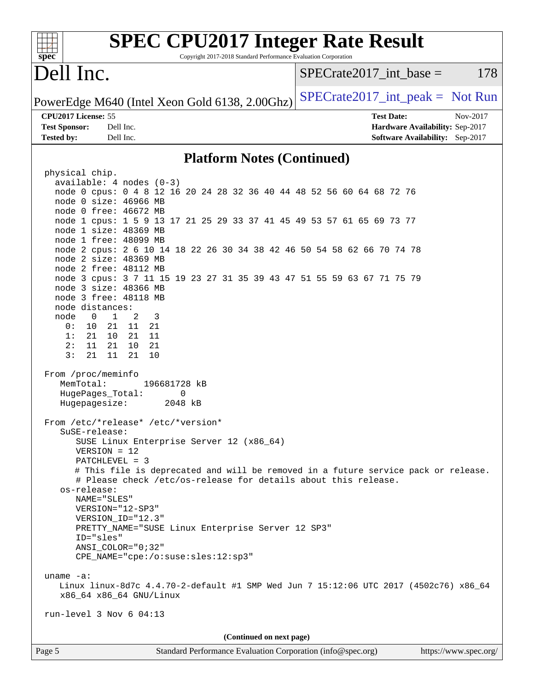| <b>SPEC CPU2017 Integer Rate Result</b><br>Copyright 2017-2018 Standard Performance Evaluation Corporation<br>$spec^*$                                                                                                                                                                                                                                                                                                                                                                                                                                                                                                                                                                                                                                                                                                                                                                                                                                                                                                                                                                                                                                                                                            |                                                                           |
|-------------------------------------------------------------------------------------------------------------------------------------------------------------------------------------------------------------------------------------------------------------------------------------------------------------------------------------------------------------------------------------------------------------------------------------------------------------------------------------------------------------------------------------------------------------------------------------------------------------------------------------------------------------------------------------------------------------------------------------------------------------------------------------------------------------------------------------------------------------------------------------------------------------------------------------------------------------------------------------------------------------------------------------------------------------------------------------------------------------------------------------------------------------------------------------------------------------------|---------------------------------------------------------------------------|
| Dell Inc.                                                                                                                                                                                                                                                                                                                                                                                                                                                                                                                                                                                                                                                                                                                                                                                                                                                                                                                                                                                                                                                                                                                                                                                                         | $SPECrate2017\_int\_base =$<br>178                                        |
| PowerEdge M640 (Intel Xeon Gold 6138, 2.00Ghz)                                                                                                                                                                                                                                                                                                                                                                                                                                                                                                                                                                                                                                                                                                                                                                                                                                                                                                                                                                                                                                                                                                                                                                    | $SPECrate2017\_int\_peak = Not Run$                                       |
| CPU2017 License: 55                                                                                                                                                                                                                                                                                                                                                                                                                                                                                                                                                                                                                                                                                                                                                                                                                                                                                                                                                                                                                                                                                                                                                                                               | <b>Test Date:</b><br>Nov-2017                                             |
| <b>Test Sponsor:</b><br>Dell Inc.<br><b>Tested by:</b><br>Dell Inc.                                                                                                                                                                                                                                                                                                                                                                                                                                                                                                                                                                                                                                                                                                                                                                                                                                                                                                                                                                                                                                                                                                                                               | Hardware Availability: Sep-2017<br><b>Software Availability:</b> Sep-2017 |
|                                                                                                                                                                                                                                                                                                                                                                                                                                                                                                                                                                                                                                                                                                                                                                                                                                                                                                                                                                                                                                                                                                                                                                                                                   |                                                                           |
| <b>Platform Notes (Continued)</b>                                                                                                                                                                                                                                                                                                                                                                                                                                                                                                                                                                                                                                                                                                                                                                                                                                                                                                                                                                                                                                                                                                                                                                                 |                                                                           |
| physical chip.<br>$available: 4 nodes (0-3)$<br>node 0 cpus: 0 4 8 12 16 20 24 28 32 36 40 44 48 52 56 60 64 68 72 76<br>node 0 size: 46966 MB<br>node 0 free: 46672 MB<br>node 1 cpus: 1 5 9 13 17 21 25 29 33 37 41 45 49 53 57 61 65 69 73 77<br>node 1 size: 48369 MB<br>node 1 free: 48099 MB<br>node 2 cpus: 2 6 10 14 18 22 26 30 34 38 42 46 50 54 58 62 66 70 74 78<br>node 2 size: 48369 MB<br>node 2 free: 48112 MB<br>node 3 cpus: 3 7 11 15 19 23 27 31 35 39 43 47 51 55 59 63 67 71 75 79<br>node 3 size: 48366 MB<br>node 3 free: 48118 MB<br>node distances:<br>$\mathbf{1}$<br>2<br>node<br>$\mathbf{0}$<br>3<br>21<br>11<br>0 :<br>10<br>21<br>11<br>1:<br>21<br>10<br>21<br>2:<br>11<br>21<br>10<br>21<br>3:<br>21<br>21<br>11<br>10<br>From /proc/meminfo<br>MemTotal:<br>196681728 kB<br>HugePages_Total:<br>0<br>Hugepagesize:<br>2048 kB<br>From /etc/*release* /etc/*version*<br>SuSE-release:<br>SUSE Linux Enterprise Server 12 (x86_64)<br>$VERSION = 12$<br>PATCHLEVEL = 3<br># This file is deprecated and will be removed in a future service pack or release.<br># Please check /etc/os-release for details about this release.<br>os-release:<br>NAME="SLES"<br>VERSION="12-SP3" |                                                                           |
| VERSION_ID="12.3"<br>PRETTY_NAME="SUSE Linux Enterprise Server 12 SP3"<br>ID="sles"<br>$ANSI$ _COLOR=" $0:32$ "                                                                                                                                                                                                                                                                                                                                                                                                                                                                                                                                                                                                                                                                                                                                                                                                                                                                                                                                                                                                                                                                                                   |                                                                           |
| CPE_NAME="cpe:/o:suse:sles:12:sp3"                                                                                                                                                                                                                                                                                                                                                                                                                                                                                                                                                                                                                                                                                                                                                                                                                                                                                                                                                                                                                                                                                                                                                                                |                                                                           |
| uname $-a$ :<br>Linux linux-8d7c 4.4.70-2-default #1 SMP Wed Jun 7 15:12:06 UTC 2017 (4502c76) x86_64<br>x86_64 x86_64 GNU/Linux<br>$run-level$ 3 Nov 6 04:13                                                                                                                                                                                                                                                                                                                                                                                                                                                                                                                                                                                                                                                                                                                                                                                                                                                                                                                                                                                                                                                     |                                                                           |
|                                                                                                                                                                                                                                                                                                                                                                                                                                                                                                                                                                                                                                                                                                                                                                                                                                                                                                                                                                                                                                                                                                                                                                                                                   |                                                                           |
| (Continued on next page)                                                                                                                                                                                                                                                                                                                                                                                                                                                                                                                                                                                                                                                                                                                                                                                                                                                                                                                                                                                                                                                                                                                                                                                          |                                                                           |
| Page 5<br>Standard Performance Evaluation Corporation (info@spec.org)                                                                                                                                                                                                                                                                                                                                                                                                                                                                                                                                                                                                                                                                                                                                                                                                                                                                                                                                                                                                                                                                                                                                             | https://www.spec.org/                                                     |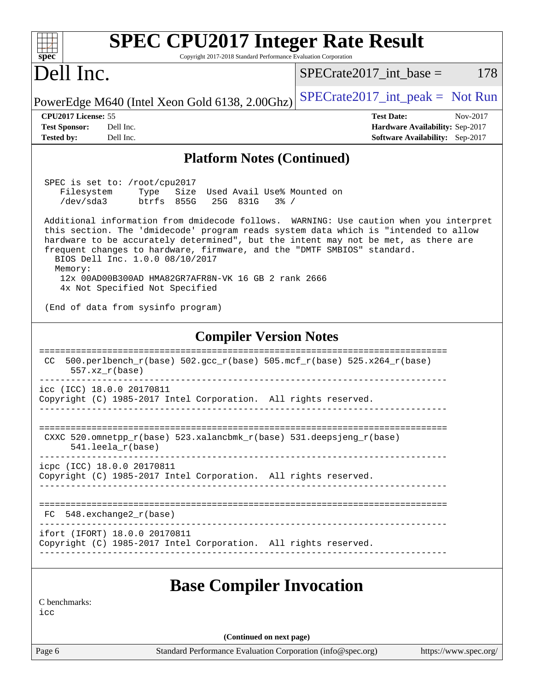| <b>SPEC CPU2017 Integer Rate Result</b>                                                                                                                                                                                                                                                                                                                                                     |                                                                    |
|---------------------------------------------------------------------------------------------------------------------------------------------------------------------------------------------------------------------------------------------------------------------------------------------------------------------------------------------------------------------------------------------|--------------------------------------------------------------------|
| $spec^*$<br>Copyright 2017-2018 Standard Performance Evaluation Corporation                                                                                                                                                                                                                                                                                                                 |                                                                    |
| Dell Inc.                                                                                                                                                                                                                                                                                                                                                                                   | 178<br>$SPECrate2017\_int\_base =$                                 |
| PowerEdge M640 (Intel Xeon Gold 6138, 2.00Ghz)                                                                                                                                                                                                                                                                                                                                              | $SPECTate2017\_int\_peak = Not Run$                                |
| CPU2017 License: 55                                                                                                                                                                                                                                                                                                                                                                         | <b>Test Date:</b><br>Nov-2017                                      |
| <b>Test Sponsor:</b><br>Dell Inc.<br><b>Tested by:</b><br>Dell Inc.                                                                                                                                                                                                                                                                                                                         | Hardware Availability: Sep-2017<br>Software Availability: Sep-2017 |
| <b>Platform Notes (Continued)</b>                                                                                                                                                                                                                                                                                                                                                           |                                                                    |
| SPEC is set to: /root/cpu2017<br>Filesystem<br>Size Used Avail Use% Mounted on<br>Type<br>/dev/sda3<br>btrfs 855G<br>25G 831G<br>$3\frac{6}{9}$ /<br>Additional information from dmidecode follows. WARNING: Use caution when you interpret                                                                                                                                                 |                                                                    |
| this section. The 'dmidecode' program reads system data which is "intended to allow<br>hardware to be accurately determined", but the intent may not be met, as there are<br>frequent changes to hardware, firmware, and the "DMTF SMBIOS" standard.<br>BIOS Dell Inc. 1.0.0 08/10/2017<br>Memory:<br>12x 00AD00B300AD HMA82GR7AFR8N-VK 16 GB 2 rank 2666<br>4x Not Specified Not Specified |                                                                    |
| (End of data from sysinfo program)                                                                                                                                                                                                                                                                                                                                                          |                                                                    |
| <b>Compiler Version Notes</b>                                                                                                                                                                                                                                                                                                                                                               |                                                                    |
| 500.perlbench_r(base) 502.gcc_r(base) 505.mcf_r(base) 525.x264_r(base)<br>CC.<br>$557. xz_r(base)$                                                                                                                                                                                                                                                                                          |                                                                    |
| icc (ICC) 18.0.0 20170811<br>Copyright (C) 1985-2017 Intel Corporation. All rights reserved.                                                                                                                                                                                                                                                                                                |                                                                    |
| CXXC 520.omnetpp_r(base) 523.xalancbmk_r(base) 531.deepsjeng_r(base)<br>$541.$ leela_r(base)                                                                                                                                                                                                                                                                                                |                                                                    |
| icpc (ICC) 18.0.0 20170811<br>Copyright (C) 1985-2017 Intel Corporation. All rights reserved.                                                                                                                                                                                                                                                                                               |                                                                    |
| $FC 548. exchange2_r(base)$                                                                                                                                                                                                                                                                                                                                                                 |                                                                    |
| ifort (IFORT) 18.0.0 20170811<br>Copyright (C) 1985-2017 Intel Corporation. All rights reserved.                                                                                                                                                                                                                                                                                            |                                                                    |
| <b>Base Compiler Invocation</b>                                                                                                                                                                                                                                                                                                                                                             |                                                                    |
| C benchmarks:<br>icc                                                                                                                                                                                                                                                                                                                                                                        |                                                                    |
| (Continued on next page)                                                                                                                                                                                                                                                                                                                                                                    |                                                                    |
| Page 6<br>Standard Performance Evaluation Corporation (info@spec.org)                                                                                                                                                                                                                                                                                                                       | https://www.spec.org/                                              |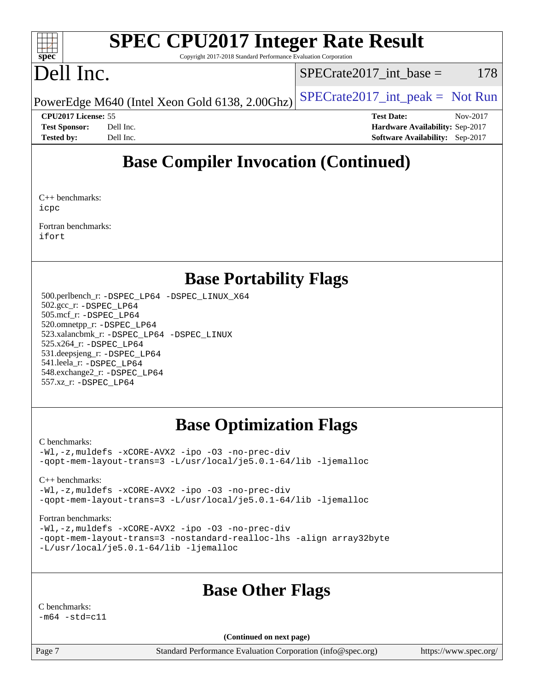#### $+\ +$ **[spec](http://www.spec.org/)**

# **[SPEC CPU2017 Integer Rate Result](http://www.spec.org/auto/cpu2017/Docs/result-fields.html#SPECCPU2017IntegerRateResult)**

Copyright 2017-2018 Standard Performance Evaluation Corporation

# Dell Inc.

 $SPECTate2017\_int\_base = 178$ 

PowerEdge M640 (Intel Xeon Gold 6138, 2.00Ghz)  $\left|$  [SPECrate2017\\_int\\_peak =](http://www.spec.org/auto/cpu2017/Docs/result-fields.html#SPECrate2017intpeak) Not Run

**[CPU2017 License:](http://www.spec.org/auto/cpu2017/Docs/result-fields.html#CPU2017License)** 55 **[Test Date:](http://www.spec.org/auto/cpu2017/Docs/result-fields.html#TestDate)** Nov-2017 **[Test Sponsor:](http://www.spec.org/auto/cpu2017/Docs/result-fields.html#TestSponsor)** Dell Inc. **[Hardware Availability:](http://www.spec.org/auto/cpu2017/Docs/result-fields.html#HardwareAvailability)** Sep-2017 **[Tested by:](http://www.spec.org/auto/cpu2017/Docs/result-fields.html#Testedby)** Dell Inc. **[Software Availability:](http://www.spec.org/auto/cpu2017/Docs/result-fields.html#SoftwareAvailability)** Sep-2017

# **[Base Compiler Invocation \(Continued\)](http://www.spec.org/auto/cpu2017/Docs/result-fields.html#BaseCompilerInvocation)**

[C++ benchmarks](http://www.spec.org/auto/cpu2017/Docs/result-fields.html#CXXbenchmarks): [icpc](http://www.spec.org/cpu2017/results/res2018q1/cpu2017-20180205-03327.flags.html#user_CXXbase_intel_icpc_18.0_c510b6838c7f56d33e37e94d029a35b4a7bccf4766a728ee175e80a419847e808290a9b78be685c44ab727ea267ec2f070ec5dc83b407c0218cded6866a35d07)

[Fortran benchmarks:](http://www.spec.org/auto/cpu2017/Docs/result-fields.html#Fortranbenchmarks) [ifort](http://www.spec.org/cpu2017/results/res2018q1/cpu2017-20180205-03327.flags.html#user_FCbase_intel_ifort_18.0_8111460550e3ca792625aed983ce982f94888b8b503583aa7ba2b8303487b4d8a21a13e7191a45c5fd58ff318f48f9492884d4413fa793fd88dd292cad7027ca)

# **[Base Portability Flags](http://www.spec.org/auto/cpu2017/Docs/result-fields.html#BasePortabilityFlags)**

 500.perlbench\_r: [-DSPEC\\_LP64](http://www.spec.org/cpu2017/results/res2018q1/cpu2017-20180205-03327.flags.html#b500.perlbench_r_basePORTABILITY_DSPEC_LP64) [-DSPEC\\_LINUX\\_X64](http://www.spec.org/cpu2017/results/res2018q1/cpu2017-20180205-03327.flags.html#b500.perlbench_r_baseCPORTABILITY_DSPEC_LINUX_X64) 502.gcc\_r: [-DSPEC\\_LP64](http://www.spec.org/cpu2017/results/res2018q1/cpu2017-20180205-03327.flags.html#suite_basePORTABILITY502_gcc_r_DSPEC_LP64) 505.mcf\_r: [-DSPEC\\_LP64](http://www.spec.org/cpu2017/results/res2018q1/cpu2017-20180205-03327.flags.html#suite_basePORTABILITY505_mcf_r_DSPEC_LP64) 520.omnetpp\_r: [-DSPEC\\_LP64](http://www.spec.org/cpu2017/results/res2018q1/cpu2017-20180205-03327.flags.html#suite_basePORTABILITY520_omnetpp_r_DSPEC_LP64) 523.xalancbmk\_r: [-DSPEC\\_LP64](http://www.spec.org/cpu2017/results/res2018q1/cpu2017-20180205-03327.flags.html#suite_basePORTABILITY523_xalancbmk_r_DSPEC_LP64) [-DSPEC\\_LINUX](http://www.spec.org/cpu2017/results/res2018q1/cpu2017-20180205-03327.flags.html#b523.xalancbmk_r_baseCXXPORTABILITY_DSPEC_LINUX) 525.x264\_r: [-DSPEC\\_LP64](http://www.spec.org/cpu2017/results/res2018q1/cpu2017-20180205-03327.flags.html#suite_basePORTABILITY525_x264_r_DSPEC_LP64) 531.deepsjeng\_r: [-DSPEC\\_LP64](http://www.spec.org/cpu2017/results/res2018q1/cpu2017-20180205-03327.flags.html#suite_basePORTABILITY531_deepsjeng_r_DSPEC_LP64) 541.leela\_r: [-DSPEC\\_LP64](http://www.spec.org/cpu2017/results/res2018q1/cpu2017-20180205-03327.flags.html#suite_basePORTABILITY541_leela_r_DSPEC_LP64) 548.exchange2\_r: [-DSPEC\\_LP64](http://www.spec.org/cpu2017/results/res2018q1/cpu2017-20180205-03327.flags.html#suite_basePORTABILITY548_exchange2_r_DSPEC_LP64) 557.xz\_r: [-DSPEC\\_LP64](http://www.spec.org/cpu2017/results/res2018q1/cpu2017-20180205-03327.flags.html#suite_basePORTABILITY557_xz_r_DSPEC_LP64)

# **[Base Optimization Flags](http://www.spec.org/auto/cpu2017/Docs/result-fields.html#BaseOptimizationFlags)**

#### [C benchmarks](http://www.spec.org/auto/cpu2017/Docs/result-fields.html#Cbenchmarks):

[-Wl,-z,muldefs](http://www.spec.org/cpu2017/results/res2018q1/cpu2017-20180205-03327.flags.html#user_CCbase_link_force_multiple1_b4cbdb97b34bdee9ceefcfe54f4c8ea74255f0b02a4b23e853cdb0e18eb4525ac79b5a88067c842dd0ee6996c24547a27a4b99331201badda8798ef8a743f577) [-xCORE-AVX2](http://www.spec.org/cpu2017/results/res2018q1/cpu2017-20180205-03327.flags.html#user_CCbase_f-xCORE-AVX2) [-ipo](http://www.spec.org/cpu2017/results/res2018q1/cpu2017-20180205-03327.flags.html#user_CCbase_f-ipo) [-O3](http://www.spec.org/cpu2017/results/res2018q1/cpu2017-20180205-03327.flags.html#user_CCbase_f-O3) [-no-prec-div](http://www.spec.org/cpu2017/results/res2018q1/cpu2017-20180205-03327.flags.html#user_CCbase_f-no-prec-div) [-qopt-mem-layout-trans=3](http://www.spec.org/cpu2017/results/res2018q1/cpu2017-20180205-03327.flags.html#user_CCbase_f-qopt-mem-layout-trans_de80db37974c74b1f0e20d883f0b675c88c3b01e9d123adea9b28688d64333345fb62bc4a798493513fdb68f60282f9a726aa07f478b2f7113531aecce732043) [-L/usr/local/je5.0.1-64/lib](http://www.spec.org/cpu2017/results/res2018q1/cpu2017-20180205-03327.flags.html#user_CCbase_jemalloc_link_path64_4b10a636b7bce113509b17f3bd0d6226c5fb2346b9178c2d0232c14f04ab830f976640479e5c33dc2bcbbdad86ecfb6634cbbd4418746f06f368b512fced5394) [-ljemalloc](http://www.spec.org/cpu2017/results/res2018q1/cpu2017-20180205-03327.flags.html#user_CCbase_jemalloc_link_lib_d1249b907c500fa1c0672f44f562e3d0f79738ae9e3c4a9c376d49f265a04b9c99b167ecedbf6711b3085be911c67ff61f150a17b3472be731631ba4d0471706)

#### [C++ benchmarks:](http://www.spec.org/auto/cpu2017/Docs/result-fields.html#CXXbenchmarks)

[-Wl,-z,muldefs](http://www.spec.org/cpu2017/results/res2018q1/cpu2017-20180205-03327.flags.html#user_CXXbase_link_force_multiple1_b4cbdb97b34bdee9ceefcfe54f4c8ea74255f0b02a4b23e853cdb0e18eb4525ac79b5a88067c842dd0ee6996c24547a27a4b99331201badda8798ef8a743f577) [-xCORE-AVX2](http://www.spec.org/cpu2017/results/res2018q1/cpu2017-20180205-03327.flags.html#user_CXXbase_f-xCORE-AVX2) [-ipo](http://www.spec.org/cpu2017/results/res2018q1/cpu2017-20180205-03327.flags.html#user_CXXbase_f-ipo) [-O3](http://www.spec.org/cpu2017/results/res2018q1/cpu2017-20180205-03327.flags.html#user_CXXbase_f-O3) [-no-prec-div](http://www.spec.org/cpu2017/results/res2018q1/cpu2017-20180205-03327.flags.html#user_CXXbase_f-no-prec-div) [-qopt-mem-layout-trans=3](http://www.spec.org/cpu2017/results/res2018q1/cpu2017-20180205-03327.flags.html#user_CXXbase_f-qopt-mem-layout-trans_de80db37974c74b1f0e20d883f0b675c88c3b01e9d123adea9b28688d64333345fb62bc4a798493513fdb68f60282f9a726aa07f478b2f7113531aecce732043) [-L/usr/local/je5.0.1-64/lib](http://www.spec.org/cpu2017/results/res2018q1/cpu2017-20180205-03327.flags.html#user_CXXbase_jemalloc_link_path64_4b10a636b7bce113509b17f3bd0d6226c5fb2346b9178c2d0232c14f04ab830f976640479e5c33dc2bcbbdad86ecfb6634cbbd4418746f06f368b512fced5394) [-ljemalloc](http://www.spec.org/cpu2017/results/res2018q1/cpu2017-20180205-03327.flags.html#user_CXXbase_jemalloc_link_lib_d1249b907c500fa1c0672f44f562e3d0f79738ae9e3c4a9c376d49f265a04b9c99b167ecedbf6711b3085be911c67ff61f150a17b3472be731631ba4d0471706)

#### [Fortran benchmarks](http://www.spec.org/auto/cpu2017/Docs/result-fields.html#Fortranbenchmarks):

[-Wl,-z,muldefs](http://www.spec.org/cpu2017/results/res2018q1/cpu2017-20180205-03327.flags.html#user_FCbase_link_force_multiple1_b4cbdb97b34bdee9ceefcfe54f4c8ea74255f0b02a4b23e853cdb0e18eb4525ac79b5a88067c842dd0ee6996c24547a27a4b99331201badda8798ef8a743f577) [-xCORE-AVX2](http://www.spec.org/cpu2017/results/res2018q1/cpu2017-20180205-03327.flags.html#user_FCbase_f-xCORE-AVX2) [-ipo](http://www.spec.org/cpu2017/results/res2018q1/cpu2017-20180205-03327.flags.html#user_FCbase_f-ipo) [-O3](http://www.spec.org/cpu2017/results/res2018q1/cpu2017-20180205-03327.flags.html#user_FCbase_f-O3) [-no-prec-div](http://www.spec.org/cpu2017/results/res2018q1/cpu2017-20180205-03327.flags.html#user_FCbase_f-no-prec-div) [-qopt-mem-layout-trans=3](http://www.spec.org/cpu2017/results/res2018q1/cpu2017-20180205-03327.flags.html#user_FCbase_f-qopt-mem-layout-trans_de80db37974c74b1f0e20d883f0b675c88c3b01e9d123adea9b28688d64333345fb62bc4a798493513fdb68f60282f9a726aa07f478b2f7113531aecce732043) [-nostandard-realloc-lhs](http://www.spec.org/cpu2017/results/res2018q1/cpu2017-20180205-03327.flags.html#user_FCbase_f_2003_std_realloc_82b4557e90729c0f113870c07e44d33d6f5a304b4f63d4c15d2d0f1fab99f5daaed73bdb9275d9ae411527f28b936061aa8b9c8f2d63842963b95c9dd6426b8a) [-align array32byte](http://www.spec.org/cpu2017/results/res2018q1/cpu2017-20180205-03327.flags.html#user_FCbase_align_array32byte_b982fe038af199962ba9a80c053b8342c548c85b40b8e86eb3cc33dee0d7986a4af373ac2d51c3f7cf710a18d62fdce2948f201cd044323541f22fc0fffc51b6) [-L/usr/local/je5.0.1-64/lib](http://www.spec.org/cpu2017/results/res2018q1/cpu2017-20180205-03327.flags.html#user_FCbase_jemalloc_link_path64_4b10a636b7bce113509b17f3bd0d6226c5fb2346b9178c2d0232c14f04ab830f976640479e5c33dc2bcbbdad86ecfb6634cbbd4418746f06f368b512fced5394) [-ljemalloc](http://www.spec.org/cpu2017/results/res2018q1/cpu2017-20180205-03327.flags.html#user_FCbase_jemalloc_link_lib_d1249b907c500fa1c0672f44f562e3d0f79738ae9e3c4a9c376d49f265a04b9c99b167ecedbf6711b3085be911c67ff61f150a17b3472be731631ba4d0471706)

## **[Base Other Flags](http://www.spec.org/auto/cpu2017/Docs/result-fields.html#BaseOtherFlags)**

[C benchmarks:](http://www.spec.org/auto/cpu2017/Docs/result-fields.html#Cbenchmarks)  $-m64 - std = c11$  $-m64 - std = c11$ 

**(Continued on next page)**

Page 7 Standard Performance Evaluation Corporation [\(info@spec.org\)](mailto:info@spec.org) <https://www.spec.org/>